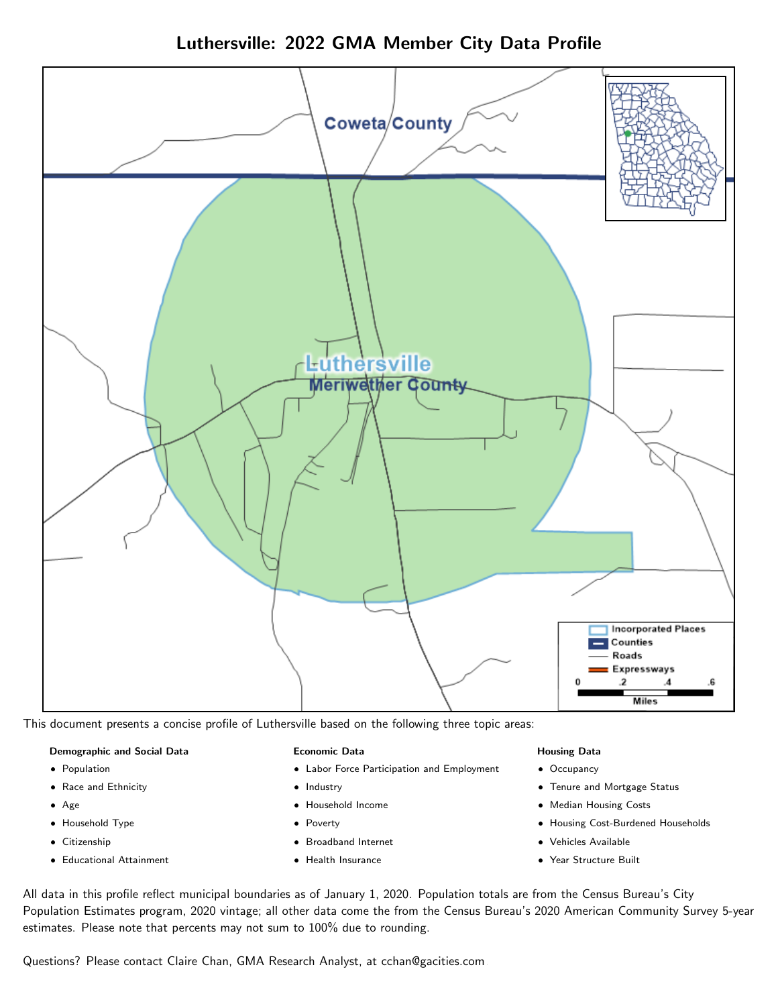



This document presents a concise profile of Luthersville based on the following three topic areas:

### Demographic and Social Data

- **•** Population
- Race and Ethnicity
- Age
- Household Type
- **Citizenship**
- Educational Attainment

### Economic Data

- Labor Force Participation and Employment
- Industry
- Household Income
- Poverty
- Broadband Internet
- Health Insurance

### Housing Data

- Occupancy
- Tenure and Mortgage Status
- Median Housing Costs
- Housing Cost-Burdened Households
- Vehicles Available
- Year Structure Built

All data in this profile reflect municipal boundaries as of January 1, 2020. Population totals are from the Census Bureau's City Population Estimates program, 2020 vintage; all other data come the from the Census Bureau's 2020 American Community Survey 5-year estimates. Please note that percents may not sum to 100% due to rounding.

Questions? Please contact Claire Chan, GMA Research Analyst, at [cchan@gacities.com.](mailto:cchan@gacities.com)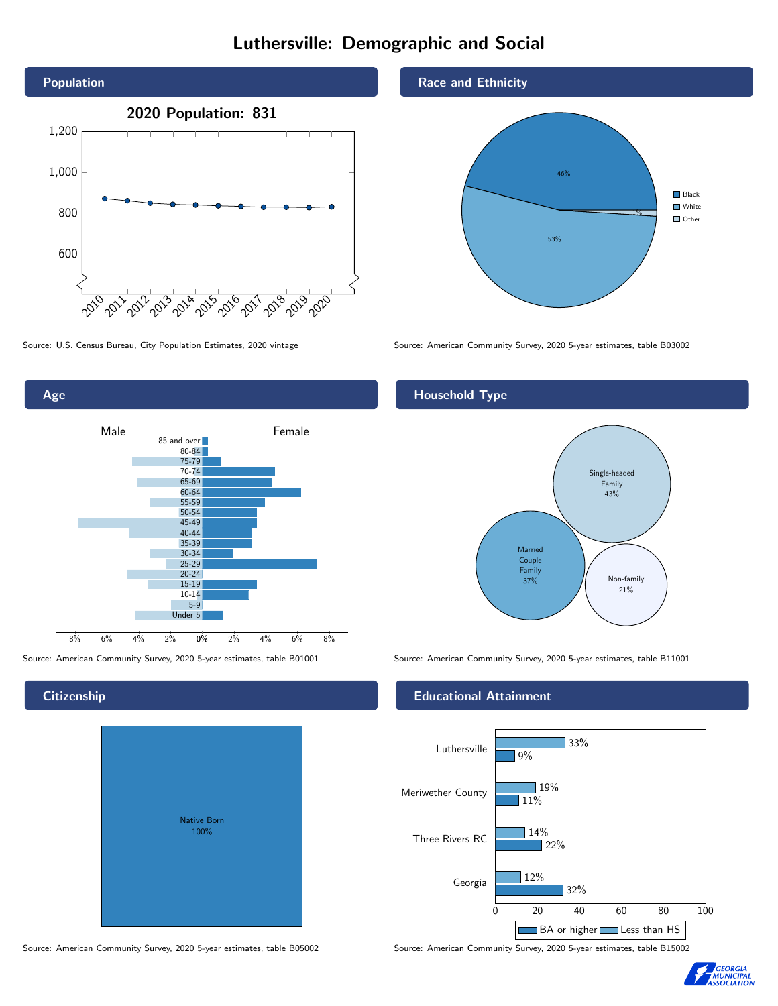# Luthersville: Demographic and Social



Age 0% 2% 4% 6% 8% Male and the settlement of the Female 8% 6% 4% 2% 85 and over 80-84 75-79 70-74 65-69 60-64 55-59 50-54 45-49 40-44 35-39 30-34 25-29 20-24 15-19 10-14 5-9 Under 5

**Citizenship** 

# Native Born 100%

# Race and Ethnicity



Source: U.S. Census Bureau, City Population Estimates, 2020 vintage Source: American Community Survey, 2020 5-year estimates, table B03002

# Household Type



Source: American Community Survey, 2020 5-year estimates, table B01001 Source: American Community Survey, 2020 5-year estimates, table B11001

# Educational Attainment



Source: American Community Survey, 2020 5-year estimates, table B05002 Source: American Community Survey, 2020 5-year estimates, table B15002

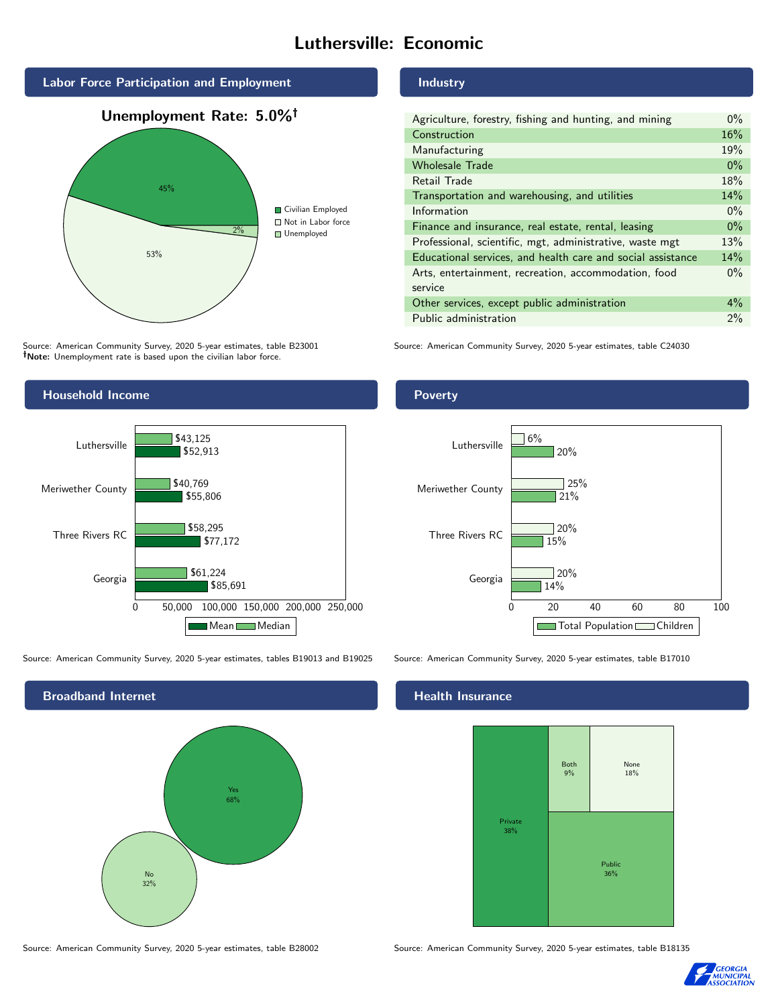# Luthersville: Economic



Source: American Community Survey, 2020 5-year estimates, table B23001 Note: Unemployment rate is based upon the civilian labor force.

# Household Income 0 50,000 100,000 150,000 200,000 250,000 Georgia Three Rivers RC Meriwether County Luthersville \$85,691 \$77,172 \$55,806 \$52,913 \$61,224 \$58,295 \$40,769 \$43,125 Mean Median

Source: American Community Survey, 2020 5-year estimates, tables B19013 and B19025 Source: American Community Survey, 2020 5-year estimates, table B17010



Industry

| Agriculture, forestry, fishing and hunting, and mining      | $0\%$ |
|-------------------------------------------------------------|-------|
| Construction                                                | 16%   |
| Manufacturing                                               | 19%   |
| <b>Wholesale Trade</b>                                      | $0\%$ |
| Retail Trade                                                | 18%   |
| Transportation and warehousing, and utilities               | 14%   |
| Information                                                 | $0\%$ |
| Finance and insurance, real estate, rental, leasing         | $0\%$ |
| Professional, scientific, mgt, administrative, waste mgt    | 13%   |
| Educational services, and health care and social assistance | 14%   |
| Arts, entertainment, recreation, accommodation, food        | $0\%$ |
| service                                                     |       |
| Other services, except public administration                | $4\%$ |
| Public administration                                       | 2%    |

Source: American Community Survey, 2020 5-year estimates, table C24030

# Poverty



# Health Insurance



Source: American Community Survey, 2020 5-year estimates, table B28002 Source: American Community Survey, 2020 5-year estimates, table B18135